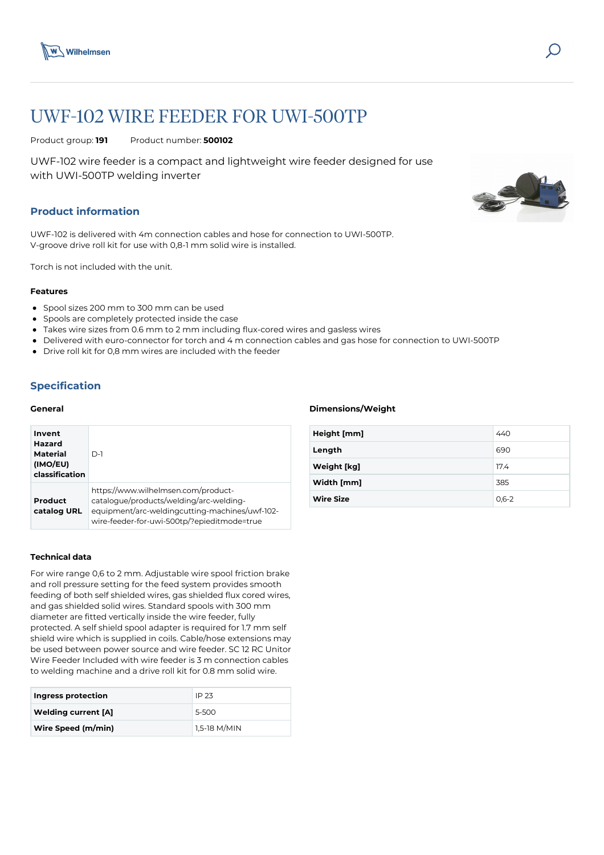

# UWF-102 WIRE FEEDER FOR UWI-500TP

Product group: **191** Product number: **500102**

UWF-102 wire feeder is a compact and lightweight wire feeder designed for use with UWI-500TP welding inverter

## **Product information**

UWF-102 is delivered with 4m connection cables and hose for connection to UWI-500TP. V-groove drive roll kit for use with 0,8-1 mm solid wire is installed.

Torch is not included with the unit.

#### **Features**

- Spool sizes 200 mm to 300 mm can be used
- Spools are completely protected inside the case
- Takes wire sizes from 0.6 mm to 2 mm including flux-cored wires and gasless wires
- Delivered with euro-connector for torch and 4 m connection cables and gas hose for connection to UWI-500TP
- Drive roll kit for 0,8 mm wires are included with the feeder

## **Specification**

### **General**

| Invent<br>Hazard<br>Material<br>(IMO/EU)<br>classification | $D-1$                                                                                                                                                                           |
|------------------------------------------------------------|---------------------------------------------------------------------------------------------------------------------------------------------------------------------------------|
| Product<br>catalog URL                                     | https://www.wilhelmsen.com/product-<br>catalogue/products/welding/arc-welding-<br>equipment/arc-weldingcutting-machines/uwf-102-<br>wire-feeder-for-uwi-500tp/?epieditmode=true |

#### **Technical data**

For wire range 0,6 to 2 mm. Adjustable wire spool friction brake and roll pressure setting for the feed system provides smooth feeding of both self shielded wires, gas shielded flux cored wires, and gas shielded solid wires. Standard spools with 300 mm diameter are fitted vertically inside the wire feeder, fully protected. A self shield spool adapter is required for 1.7 mm self shield wire which is supplied in coils. Cable/hose extensions may be used between power source and wire feeder. SC 12 RC Unitor Wire Feeder Included with wire feeder is 3 m connection cables to welding machine and a drive roll kit for 0.8 mm solid wire.

| Ingress protection         | IP 23        |
|----------------------------|--------------|
| <b>Welding current [A]</b> | 5-500        |
| Wire Speed (m/min)         | 1,5-18 M/MIN |

#### **Dimensions/Weight**

| Height [mm]      | 440             |
|------------------|-----------------|
| Length           | 690             |
| Weight [kg]      | 17 <sub>4</sub> |
| Width [mm]       | 385             |
| <b>Wire Size</b> | $0,6-2$         |
|                  |                 |